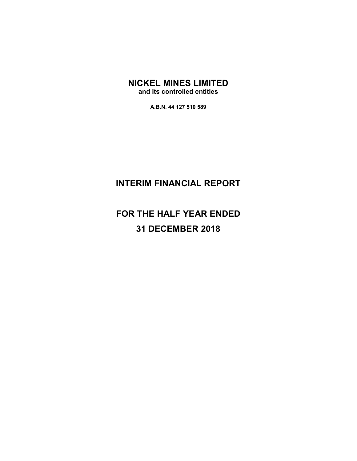## NICKEL MINES LIMITED

and its controlled entities

A.B.N. 44 127 510 589

# INTERIM FINANCIAL REPORT

# FOR THE HALF YEAR ENDED 31 DECEMBER 2018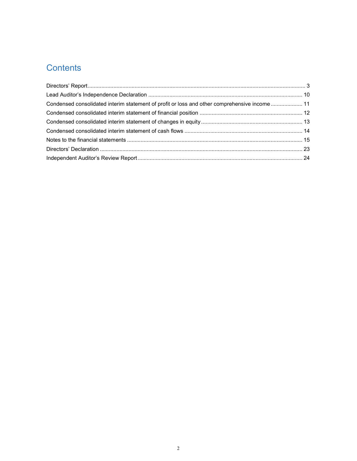# **Contents**

| Condensed consolidated interim statement of profit or loss and other comprehensive income  11 |  |
|-----------------------------------------------------------------------------------------------|--|
|                                                                                               |  |
|                                                                                               |  |
|                                                                                               |  |
|                                                                                               |  |
|                                                                                               |  |
|                                                                                               |  |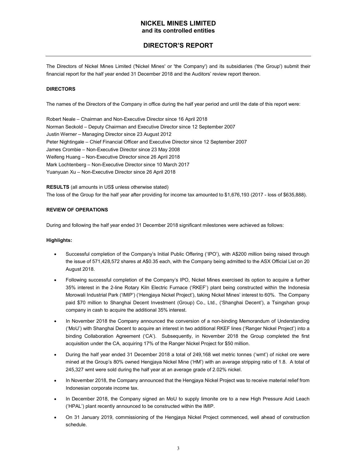## DIRECTOR'S REPORT

The Directors of Nickel Mines Limited ('Nickel Mines' or 'the Company') and its subsidiaries ('the Group') submit their financial report for the half year ended 31 December 2018 and the Auditors' review report thereon.

#### **DIRECTORS**

The names of the Directors of the Company in office during the half year period and until the date of this report were:

Robert Neale – Chairman and Non-Executive Director since 16 April 2018 Norman Seckold – Deputy Chairman and Executive Director since 12 September 2007 Justin Werner – Managing Director since 23 August 2012 Peter Nightingale – Chief Financial Officer and Executive Director since 12 September 2007 James Crombie – Non-Executive Director since 23 May 2008 Weifeng Huang – Non-Executive Director since 26 April 2018 Mark Lochtenberg – Non-Executive Director since 10 March 2017 Yuanyuan Xu – Non-Executive Director since 26 April 2018

RESULTS (all amounts in US\$ unless otherwise stated) The loss of the Group for the half year after providing for income tax amounted to \$1,676,193 (2017 - loss of \$635,888).

#### REVIEW OF OPERATIONS

During and following the half year ended 31 December 2018 significant milestones were achieved as follows:

#### Highlights:

- Successful completion of the Company's Initial Public Offering ('IPO'), with A\$200 million being raised through the issue of 571,428,572 shares at A\$0.35 each, with the Company being admitted to the ASX Official List on 20 August 2018.
- Following successful completion of the Company's IPO, Nickel Mines exercised its option to acquire a further  $\bullet$ 35% interest in the 2-line Rotary Kiln Electric Furnace ('RKEF') plant being constructed within the Indonesia Morowali Industrial Park ('IMIP') ('Hengjaya Nickel Project'), taking Nickel Mines' interest to 60%. The Company paid \$70 million to Shanghai Decent Investment (Group) Co., Ltd., ('Shanghai Decent'), a Tsingshan group company in cash to acquire the additional 35% interest.
- In November 2018 the Company announced the conversion of a non-binding Memorandum of Understanding ('MoU') with Shanghai Decent to acquire an interest in two additional RKEF lines ('Ranger Nickel Project') into a binding Collaboration Agreement ('CA'). Subsequently, in November 2018 the Group completed the first acquisition under the CA, acquiring 17% of the Ranger Nickel Project for \$50 million.
- During the half year ended 31 December 2018 a total of 249,168 wet metric tonnes ('wmt') of nickel ore were mined at the Group's 80% owned Hengjaya Nickel Mine ('HM') with an average stripping ratio of 1.8. A total of 245,327 wmt were sold during the half year at an average grade of 2.02% nickel.
- In November 2018, the Company announced that the Hengjaya Nickel Project was to receive material relief from Indonesian corporate income tax.
- In December 2018, the Company signed an MoU to supply limonite ore to a new High Pressure Acid Leach ('HPAL') plant recently announced to be constructed within the IMIP.
- On 31 January 2019, commissioning of the Hengjaya Nickel Project commenced, well ahead of construction schedule.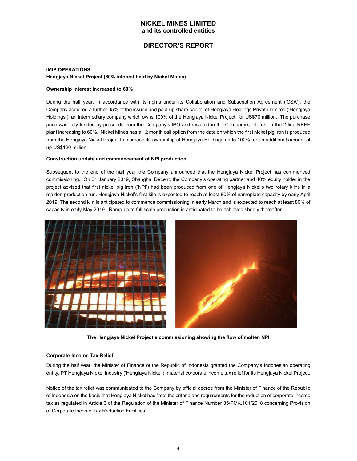## DIRECTOR'S REPORT

#### IMIP OPERATIONS Hengjaya Nickel Project (60% interest held by Nickel Mines)

#### Ownership interest increased to 60%

During the half year, in accordance with its rights under its Collaboration and Subscription Agreement ('CSA'), the Company acquired a further 35% of the issued and paid-up share capital of Hengjaya Holdings Private Limited ('Hengjaya Holdings'), an intermediary company which owns 100% of the Hengjaya Nickel Project, for US\$70 million. The purchase price was fully funded by proceeds from the Company's IPO and resulted in the Company's interest in the 2-line RKEF plant increasing to 60%. Nickel Mines has a 12 month call option from the date on which the first nickel pig iron is produced from the Hengjaya Nickel Project to increase its ownership of Hengjaya Holdings up to 100% for an additional amount of up US\$120 million.

#### Construction update and commencement of NPI production

Subsequent to the end of the half year the Company announced that the Hengjaya Nickel Project has commenced commissioning. On 31 January 2019, Shanghai Decent, the Company's operating partner and 40% equity holder in the project advised that first nickel pig iron ('NPI') had been produced from one of Hengjaya Nickel's two rotary kilns in a maiden production run. Hengjaya Nickel's first kiln is expected to reach at least 80% of nameplate capacity by early April 2019. The second kiln is anticipated to commence commissioning in early March and is expected to reach at least 80% of capacity in early May 2019. Ramp-up to full scale production is anticipated to be achieved shortly thereafter.



The Hengjaya Nickel Project's commissioning showing the flow of molten NPI

#### Corporate Income Tax Relief

During the half year, the Minister of Finance of the Republic of Indonesia granted the Company's Indonesian operating entity, PT Hengjaya Nickel Industry ('Hengjaya Nickel'), material corporate income tax relief for its Hengjaya Nickel Project.

Notice of the tax relief was communicated to the Company by official decree from the Minister of Finance of the Republic of Indonesia on the basis that Hengjaya Nickel had "met the criteria and requirements for the reduction of corporate income tax as regulated in Article 3 of the Regulation of the Minister of Finance Number 35/PMK.101/2018 concerning Provision of Corporate Income Tax Reduction Facilities".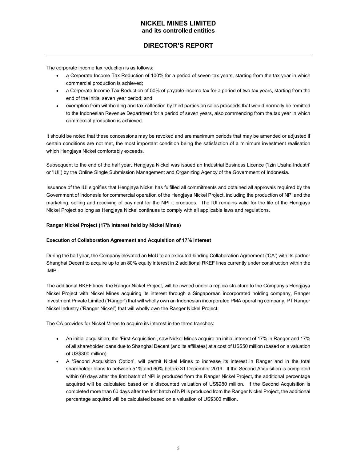## DIRECTOR'S REPORT

The corporate income tax reduction is as follows:

- a Corporate Income Tax Reduction of 100% for a period of seven tax years, starting from the tax year in which commercial production is achieved;
- a Corporate Income Tax Reduction of 50% of payable income tax for a period of two tax years, starting from the end of the initial seven year period; and
- exemption from withholding and tax collection by third parties on sales proceeds that would normally be remitted to the Indonesian Revenue Department for a period of seven years, also commencing from the tax year in which commercial production is achieved.

It should be noted that these concessions may be revoked and are maximum periods that may be amended or adjusted if certain conditions are not met, the most important condition being the satisfaction of a minimum investment realisation which Hengjaya Nickel comfortably exceeds.

Subsequent to the end of the half year, Hengjaya Nickel was issued an Industrial Business Licence ('Izin Usaha Industri' or 'IUI') by the Online Single Submission Management and Organizing Agency of the Government of Indonesia.

Issuance of the IUI signifies that Hengjaya Nickel has fulfilled all commitments and obtained all approvals required by the Government of Indonesia for commercial operation of the Hengjaya Nickel Project, including the production of NPI and the marketing, selling and receiving of payment for the NPI it produces. The IUI remains valid for the life of the Hengjaya Nickel Project so long as Hengjaya Nickel continues to comply with all applicable laws and regulations.

#### Ranger Nickel Project (17% interest held by Nickel Mines)

#### Execution of Collaboration Agreement and Acquisition of 17% interest

During the half year, the Company elevated an MoU to an executed binding Collaboration Agreement ('CA') with its partner Shanghai Decent to acquire up to an 80% equity interest in 2 additional RKEF lines currently under construction within the IMIP.

The additional RKEF lines, the Ranger Nickel Project, will be owned under a replica structure to the Company's Hengjaya Nickel Project with Nickel Mines acquiring its interest through a Singaporean incorporated holding company, Ranger Investment Private Limited ('Ranger') that will wholly own an Indonesian incorporated PMA operating company, PT Ranger Nickel Industry ('Ranger Nickel') that will wholly own the Ranger Nickel Project.

The CA provides for Nickel Mines to acquire its interest in the three tranches:

- An initial acquisition, the 'First Acquisition', saw Nickel Mines acquire an initial interest of 17% in Ranger and 17% of all shareholder loans due to Shanghai Decent (and its affiliates) at a cost of US\$50 million (based on a valuation of US\$300 million).
- A 'Second Acquisition Option', will permit Nickel Mines to increase its interest in Ranger and in the total shareholder loans to between 51% and 60% before 31 December 2019. If the Second Acquisition is completed within 60 days after the first batch of NPI is produced from the Ranger Nickel Project, the additional percentage acquired will be calculated based on a discounted valuation of US\$280 million. If the Second Acquisition is completed more than 60 days after the first batch of NPI is produced from the Ranger Nickel Project, the additional percentage acquired will be calculated based on a valuation of US\$300 million.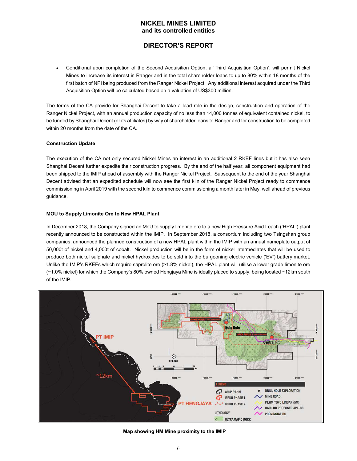## DIRECTOR'S REPORT

Conditional upon completion of the Second Acquisition Option, a 'Third Acquisition Option', will permit Nickel  $\bullet$ Mines to increase its interest in Ranger and in the total shareholder loans to up to 80% within 18 months of the first batch of NPI being produced from the Ranger Nickel Project. Any additional interest acquired under the Third Acquisition Option will be calculated based on a valuation of US\$300 million.

The terms of the CA provide for Shanghai Decent to take a lead role in the design, construction and operation of the Ranger Nickel Project, with an annual production capacity of no less than 14,000 tonnes of equivalent contained nickel, to be funded by Shanghai Decent (or its affiliates) by way of shareholder loans to Ranger and for construction to be completed within 20 months from the date of the CA.

#### Construction Update

The execution of the CA not only secured Nickel Mines an interest in an additional 2 RKEF lines but it has also seen Shanghai Decent further expedite their construction progress. By the end of the half year, all component equipment had been shipped to the IMIP ahead of assembly with the Ranger Nickel Project. Subsequent to the end of the year Shanghai Decent advised that an expedited schedule will now see the first kiln of the Ranger Nickel Project ready to commence commissioning in April 2019 with the second kiln to commence commissioning a month later in May, well ahead of previous guidance.

#### MOU to Supply Limonite Ore to New HPAL Plant

In December 2018, the Company signed an MoU to supply limonite ore to a new High Pressure Acid Leach ('HPAL') plant recently announced to be constructed within the IMIP. In September 2018, a consortium including two Tsingshan group companies, announced the planned construction of a new HPAL plant within the IMIP with an annual nameplate output of 50,000t of nickel and 4,000t of cobalt. Nickel production will be in the form of nickel intermediates that will be used to produce both nickel sulphate and nickel hydroxides to be sold into the burgeoning electric vehicle ('EV') battery market. Unlike the IMIP's RKEFs which require saprolite ore (>1.8% nickel), the HPAL plant will utilise a lower grade limonite ore (~1.0% nickel) for which the Company's 80% owned Hengjaya Mine is ideally placed to supply, being located ~12km south of the IMIP.



Map showing HM Mine proximity to the IMIP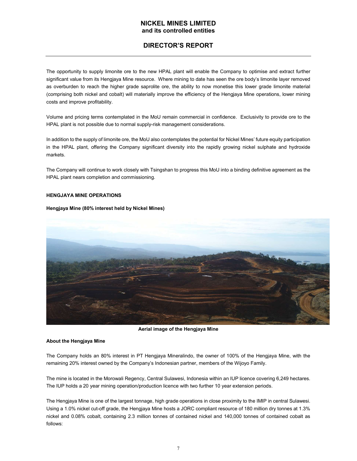## DIRECTOR'S REPORT

The opportunity to supply limonite ore to the new HPAL plant will enable the Company to optimise and extract further significant value from its Hengjaya Mine resource. Where mining to date has seen the ore body's limonite layer removed as overburden to reach the higher grade saprolite ore, the ability to now monetise this lower grade limonite material (comprising both nickel and cobalt) will materially improve the efficiency of the Hengjaya Mine operations, lower mining costs and improve profitability.

Volume and pricing terms contemplated in the MoU remain commercial in confidence. Exclusivity to provide ore to the HPAL plant is not possible due to normal supply-risk management considerations.

In addition to the supply of limonite ore, the MoU also contemplates the potential for Nickel Mines' future equity participation in the HPAL plant, offering the Company significant diversity into the rapidly growing nickel sulphate and hydroxide markets.

The Company will continue to work closely with Tsingshan to progress this MoU into a binding definitive agreement as the HPAL plant nears completion and commissioning.

#### HENGJAYA MINE OPERATIONS

#### Hengjaya Mine (80% interest held by Nickel Mines)



Aerial image of the Hengjaya Mine

#### About the Hengjaya Mine

The Company holds an 80% interest in PT Hengjaya Mineralindo, the owner of 100% of the Hengjaya Mine, with the remaining 20% interest owned by the Company's Indonesian partner, members of the Wijoyo Family.

The mine is located in the Morowali Regency, Central Sulawesi, Indonesia within an IUP licence covering 6,249 hectares. The IUP holds a 20 year mining operation/production licence with two further 10 year extension periods.

The Hengjaya Mine is one of the largest tonnage, high grade operations in close proximity to the IMIP in central Sulawesi. Using a 1.0% nickel cut-off grade, the Hengjaya Mine hosts a JORC compliant resource of 180 million dry tonnes at 1.3% nickel and 0.08% cobalt, containing 2.3 million tonnes of contained nickel and 140,000 tonnes of contained cobalt as follows: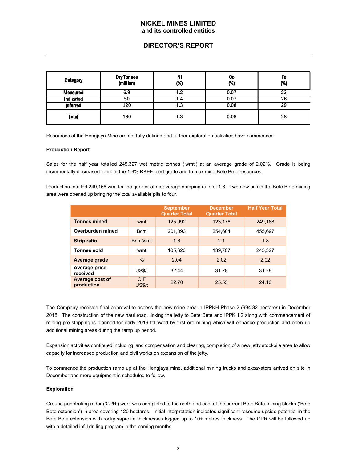## DIRECTOR'S REPORT

| <b>Category</b>  | <b>Dry Tonnes</b><br>(million) | Ni<br>(%) | Co<br>(%) | Fe<br>$(\%)$ |
|------------------|--------------------------------|-----------|-----------|--------------|
| <b>Measured</b>  | 6.9                            | 1.2       | 0.07      | 23           |
| <b>Indicated</b> | 50                             | 1.4       | 0.07      | 26           |
| <b>Inferred</b>  | 120                            | 1.3       | 0.08      | 29           |
| <b>Total</b>     | 180                            | 1.3       | 0.08      | 28           |

Resources at the Hengjaya Mine are not fully defined and further exploration activities have commenced.

#### Production Report

Sales for the half year totalled 245,327 wet metric tonnes ('wmt') at an average grade of 2.02%. Grade is being incrementally decreased to meet the 1.9% RKEF feed grade and to maximise Bete Bete resources.

Production totalled 249,168 wmt for the quarter at an average stripping ratio of 1.8. Two new pits in the Bete Bete mining area were opened up bringing the total available pits to four.

|                               |                             | <b>September</b><br><b>Quarter Total</b> | <b>December</b><br><b>Quarter Total</b> | <b>Half Year Total</b> |
|-------------------------------|-----------------------------|------------------------------------------|-----------------------------------------|------------------------|
| <b>Tonnes mined</b>           | wmt                         | 125,992                                  | 123,176                                 | 249,168                |
| Overburden mined              | <b>B</b> cm                 | 201,093                                  | 254.604                                 | 455,697                |
| <b>Strip ratio</b>            | Bcm/wmt                     | 1.6                                      | 2.1                                     | 1.8                    |
| <b>Tonnes sold</b>            | wmt                         | 105,620                                  | 139,707                                 | 245,327                |
| Average grade                 | $\frac{0}{0}$               | 2.04                                     | 2.02                                    | 2.02                   |
| Average price<br>received     | <b>US\$/t</b>               | 32.44                                    | 31.78                                   | 31.79                  |
| Average cost of<br>production | <b>CIF</b><br><b>US\$/t</b> | 22.70                                    | 25.55                                   | 24.10                  |

The Company received final approval to access the new mine area in IPPKH Phase 2 (994.32 hectares) in December 2018. The construction of the new haul road, linking the jetty to Bete Bete and IPPKH 2 along with commencement of mining pre-stripping is planned for early 2019 followed by first ore mining which will enhance production and open up additional mining areas during the ramp up period.

Expansion activities continued including land compensation and clearing, completion of a new jetty stockpile area to allow capacity for increased production and civil works on expansion of the jetty.

To commence the production ramp up at the Hengjaya mine, additional mining trucks and excavators arrived on site in December and more equipment is scheduled to follow.

#### Exploration

Ground penetrating radar ('GPR') work was completed to the north and east of the current Bete Bete mining blocks ('Bete Bete extension') in area covering 120 hectares. Initial interpretation indicates significant resource upside potential in the Bete Bete extension with rocky saprolite thicknesses logged up to 10+ metres thickness. The GPR will be followed up with a detailed infill drilling program in the coming months.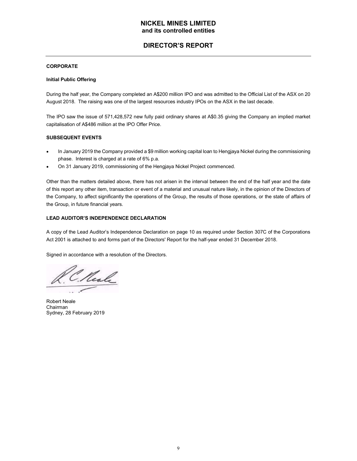## DIRECTOR'S REPORT

#### **CORPORATE**

#### Initial Public Offering

During the half year, the Company completed an A\$200 million IPO and was admitted to the Official List of the ASX on 20 August 2018. The raising was one of the largest resources industry IPOs on the ASX in the last decade.

The IPO saw the issue of 571,428,572 new fully paid ordinary shares at A\$0.35 giving the Company an implied market capitalisation of A\$486 million at the IPO Offer Price.

#### SUBSEQUENT EVENTS

- In January 2019 the Company provided a \$9 million working capital loan to Hengjaya Nickel during the commissioning  $\bullet$ phase. Interest is charged at a rate of 6% p.a.
- On 31 January 2019, commissioning of the Hengjaya Nickel Project commenced.

Other than the matters detailed above, there has not arisen in the interval between the end of the half year and the date of this report any other item, transaction or event of a material and unusual nature likely, in the opinion of the Directors of the Company, to affect significantly the operations of the Group, the results of those operations, or the state of affairs of the Group, in future financial years.

#### LEAD AUDITOR'S INDEPENDENCE DECLARATION

A copy of the Lead Auditor's Independence Declaration on page 10 as required under Section 307C of the Corporations Act 2001 is attached to and forms part of the Directors' Report for the half-year ended 31 December 2018.

Signed in accordance with a resolution of the Directors.

C. Neale

Robert Neale Chairman Sydney, 28 February 2019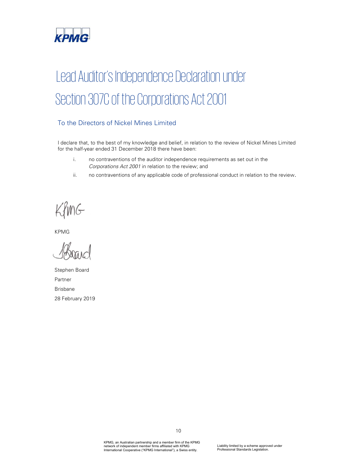

# Lead Auditor's Independence Declaration under Section 307C of the Corporations Act 2001

## To the Directors of Nickel Mines Limited

I declare that, to the best of my knowledge and belief, in relation to the review of Nickel Mines Limited for the half-year ended 31 December 2018 there have been:

- i. no contraventions of the auditor independence requirements as set out in the Corporations Act 2001 in relation to the review; and
- ii. no contraventions of any applicable code of professional conduct in relation to the review.

 $f(x, y)$ PARAMETERS IN PARAMETERS IN PARAMETERS IN PARAMETERS IN PARAMETERS IN PARAMETERS IN PARAMETERS IN PARAMETERS IN PARAMETERS IN PARAMETERS IN PARAMETERS IN PARAMETERS IN PARAMETERS IN PARAMETERS IN PARAMETERS IN PARAMETERS I

KPMG

Stephen Board Partner Brisbane 28 February 2019

KPMG, an Australian partnership and a member firm of the KPMG network of independent member firms affiliated with KPMG International Cooperative ("KPMG International"), a Swiss entity.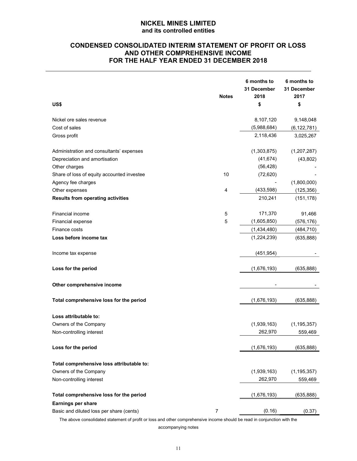## CONDENSED CONSOLIDATED INTERIM STATEMENT OF PROFIT OR LOSS AND OTHER COMPREHENSIVE INCOME FOR THE HALF YEAR ENDED 31 DECEMBER 2018

| <b>Notes</b><br>US\$                                       | 2018<br>\$  | 31 December<br>2017<br>\$ |
|------------------------------------------------------------|-------------|---------------------------|
|                                                            |             |                           |
| Nickel ore sales revenue                                   | 8,107,120   | 9,148,048                 |
| Cost of sales                                              | (5,988,684) | (6, 122, 781)             |
| Gross profit                                               | 2,118,436   | 3,025,267                 |
| Administration and consultants' expenses                   | (1,303,875) | (1,207,287)               |
| Depreciation and amortisation                              | (41, 674)   | (43, 802)                 |
| Other charges                                              | (56, 428)   |                           |
| Share of loss of equity accounted investee<br>10           | (72, 620)   |                           |
| Agency fee charges                                         |             | (1,800,000)               |
| Other expenses<br>4                                        | (433, 598)  | (125, 356)                |
| <b>Results from operating activities</b>                   | 210,241     | (151, 178)                |
| Financial income<br>5                                      | 171,370     | 91,466                    |
| 5<br>Financial expense                                     | (1,605,850) | (576, 176)                |
| Finance costs                                              | (1,434,480) | (484, 710)                |
| Loss before income tax                                     | (1,224,239) | (635, 888)                |
| Income tax expense                                         | (451, 954)  |                           |
| Loss for the period                                        | (1,676,193) | (635, 888)                |
| Other comprehensive income                                 |             |                           |
| Total comprehensive loss for the period                    | (1,676,193) | (635, 888)                |
| Loss attributable to:                                      |             |                           |
| Owners of the Company                                      | (1,939,163) | (1, 195, 357)             |
| Non-controlling interest                                   | 262,970     | 559,469                   |
| Loss for the period                                        | (1,676,193) | (635, 888)                |
| Total comprehensive loss attributable to:                  |             |                           |
| Owners of the Company                                      | (1,939,163) | (1, 195, 357)             |
| Non-controlling interest                                   | 262,970     | 559,469                   |
| Total comprehensive loss for the period                    | (1,676,193) | (635, 888)                |
| Earnings per share                                         |             |                           |
| Basic and diluted loss per share (cents)<br>$\overline{7}$ | (0.16)      | (0.37)                    |

The above consolidated statement of profit or loss and other comprehensive income should be read in conjunction with the

accompanying notes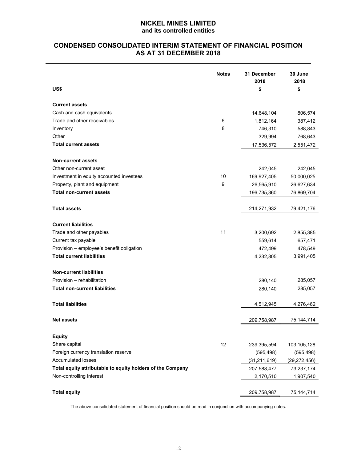## CONDENSED CONSOLIDATED INTERIM STATEMENT OF FINANCIAL POSITION AS AT 31 DECEMBER 2018

| US\$                                                       | <b>Notes</b> | 31 December<br>2018<br>\$ | 30 June<br>2018<br>\$ |
|------------------------------------------------------------|--------------|---------------------------|-----------------------|
| <b>Current assets</b>                                      |              |                           |                       |
| Cash and cash equivalents                                  |              | 14,648,104                | 806,574               |
| Trade and other receivables                                | 6            | 1,812,164                 | 387,412               |
| Inventory                                                  | 8            | 746,310                   | 588,843               |
| Other                                                      |              | 329,994                   | 768,643               |
| <b>Total current assets</b>                                |              | 17,536,572                | 2,551,472             |
| <b>Non-current assets</b>                                  |              |                           |                       |
| Other non-current asset                                    |              | 242,045                   | 242,045               |
| Investment in equity accounted investees                   | 10           | 169,927,405               | 50,000,025            |
| Property, plant and equipment                              | 9            | 26,565,910                | 26,627,634            |
| <b>Total non-current assets</b>                            |              | 196,735,360               | 76,869,704            |
|                                                            |              |                           |                       |
| <b>Total assets</b>                                        |              | 214,271,932               | 79,421,176            |
| <b>Current liabilities</b>                                 |              |                           |                       |
| Trade and other payables                                   | 11           | 3,200,692                 | 2,855,385             |
| Current tax payable                                        |              | 559,614                   | 657,471               |
| Provision - employee's benefit obligation                  |              | 472,499                   | 478,549               |
| <b>Total current liabilities</b>                           |              | 4,232,805                 | 3,991,405             |
| <b>Non-current liabilities</b>                             |              |                           |                       |
| Provision - rehabilitation                                 |              | 280,140                   | 285,057               |
| <b>Total non-current liabilities</b>                       |              | 280,140                   | 285,057               |
| <b>Total liabilities</b>                                   |              | 4,512,945                 | 4,276,462             |
| <b>Net assets</b>                                          |              | 209,758,987               | 75, 144, 714          |
| <b>Equity</b>                                              |              |                           |                       |
| Share capital                                              | 12           | 239,395,594               | 103,105,128           |
| Foreign currency translation reserve                       |              | (595, 498)                | (595, 498)            |
| Accumulated losses                                         |              | (31, 211, 619)            | (29, 272, 456)        |
| Total equity attributable to equity holders of the Company |              | 207,588,477               | 73,237,174            |
| Non-controlling interest                                   |              | 2,170,510                 | 1,907,540             |
| <b>Total equity</b>                                        |              | 209,758,987               | 75,144,714            |

The above consolidated statement of financial position should be read in conjunction with accompanying notes.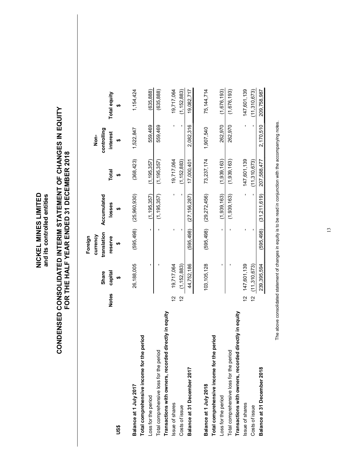| (11,310,673)<br>(1,676,193)<br>147,601,139<br>(635, 888)<br>(635, 888)<br>19,717,064<br>(1, 152, 883)<br>75,144,714<br>(1,676,193)<br>209,758,987<br>1,154,424<br>19,082,717<br>Total equity<br>မာ<br>CONDENSED CONSOLIDATED INTERIM STATEMENT OF CHANGES IN EQUITY<br>2,170,510<br>262,970<br>$\mathbf{I}$<br>559,469<br>2,082,316<br>262,970<br>559,469<br>J,<br>1,907,540<br>1,522,847<br>controlling<br><b>interest</b><br>Non-<br>မာ<br>31 DECEMBER 2018<br>147,601,139<br>(1, 195, 357)<br>(1,939,163)<br>(368, 423)<br>(1, 195, 357)<br>(1,939,163)<br>207,588,477<br>(1, 152, 883)<br>17,000,401<br>73,237,174<br>19,717,064<br>(11,310,673)<br><b>Total</b><br>မာ<br>$\bar{\textbf{r}}$<br>(31,211,619)<br>195,357)<br>(1,939,163)<br>,156,287)<br>(1,939,163)<br>(25,960,930)<br>(195, 357)<br>$\blacksquare$<br>.272,456)<br>Accumulated<br>losses<br>မာ<br>Ξ,<br>(29,<br>$\tilde{L}$<br>(27)<br>FOR THE HALF YEAR ENDED<br>(595, 498)<br>(595, 498)<br>(595, 498)<br>$\mathbf{I}$<br>(595, 498)<br>$\blacksquare$<br>$\blacksquare$<br>$\blacksquare$<br>$\mathbf{I}$<br>translation<br>currency<br>Foreign<br>reserve<br><b>SA</b><br>147,601,139<br>239, 395, 594<br>$\blacksquare$<br>44,752,186<br>26,188,005<br>$\blacksquare$<br>(1, 152, 883)<br>103, 105, 128<br>$\blacksquare$<br>(11,310,673)<br>19,717,064<br>$\blacksquare$<br>capital<br>Share<br>↔<br><b>Notes</b><br>$\tilde{c}$<br>$\overline{\mathfrak{c}}$<br>57<br>$\tilde{c}$<br>Transactions with owners, recorded directly in equity<br>Transactions with owners, recorded directly in equity<br>Total comprehensive income for the period<br>Total comprehensive income for the period<br>Total comprehensive loss for the period<br>Total comprehensive loss for the period<br>Balance at 31 December 2018<br>Balance at 31 December 2017<br>Balance at 1 July 2018<br>Balance at 1 July 2017<br>Loss for the period<br>Loss for the period<br>Issue of shares<br>Issue of shares<br>Costs of issue<br>Costs of issue<br>US\$ |  |
|-------------------------------------------------------------------------------------------------------------------------------------------------------------------------------------------------------------------------------------------------------------------------------------------------------------------------------------------------------------------------------------------------------------------------------------------------------------------------------------------------------------------------------------------------------------------------------------------------------------------------------------------------------------------------------------------------------------------------------------------------------------------------------------------------------------------------------------------------------------------------------------------------------------------------------------------------------------------------------------------------------------------------------------------------------------------------------------------------------------------------------------------------------------------------------------------------------------------------------------------------------------------------------------------------------------------------------------------------------------------------------------------------------------------------------------------------------------------------------------------------------------------------------------------------------------------------------------------------------------------------------------------------------------------------------------------------------------------------------------------------------------------------------------------------------------------------------------------------------------------------------------------------------------------------------------------------------------------------------------------------------------------|--|
|                                                                                                                                                                                                                                                                                                                                                                                                                                                                                                                                                                                                                                                                                                                                                                                                                                                                                                                                                                                                                                                                                                                                                                                                                                                                                                                                                                                                                                                                                                                                                                                                                                                                                                                                                                                                                                                                                                                                                                                                                   |  |
|                                                                                                                                                                                                                                                                                                                                                                                                                                                                                                                                                                                                                                                                                                                                                                                                                                                                                                                                                                                                                                                                                                                                                                                                                                                                                                                                                                                                                                                                                                                                                                                                                                                                                                                                                                                                                                                                                                                                                                                                                   |  |
|                                                                                                                                                                                                                                                                                                                                                                                                                                                                                                                                                                                                                                                                                                                                                                                                                                                                                                                                                                                                                                                                                                                                                                                                                                                                                                                                                                                                                                                                                                                                                                                                                                                                                                                                                                                                                                                                                                                                                                                                                   |  |
|                                                                                                                                                                                                                                                                                                                                                                                                                                                                                                                                                                                                                                                                                                                                                                                                                                                                                                                                                                                                                                                                                                                                                                                                                                                                                                                                                                                                                                                                                                                                                                                                                                                                                                                                                                                                                                                                                                                                                                                                                   |  |
|                                                                                                                                                                                                                                                                                                                                                                                                                                                                                                                                                                                                                                                                                                                                                                                                                                                                                                                                                                                                                                                                                                                                                                                                                                                                                                                                                                                                                                                                                                                                                                                                                                                                                                                                                                                                                                                                                                                                                                                                                   |  |
|                                                                                                                                                                                                                                                                                                                                                                                                                                                                                                                                                                                                                                                                                                                                                                                                                                                                                                                                                                                                                                                                                                                                                                                                                                                                                                                                                                                                                                                                                                                                                                                                                                                                                                                                                                                                                                                                                                                                                                                                                   |  |
|                                                                                                                                                                                                                                                                                                                                                                                                                                                                                                                                                                                                                                                                                                                                                                                                                                                                                                                                                                                                                                                                                                                                                                                                                                                                                                                                                                                                                                                                                                                                                                                                                                                                                                                                                                                                                                                                                                                                                                                                                   |  |
|                                                                                                                                                                                                                                                                                                                                                                                                                                                                                                                                                                                                                                                                                                                                                                                                                                                                                                                                                                                                                                                                                                                                                                                                                                                                                                                                                                                                                                                                                                                                                                                                                                                                                                                                                                                                                                                                                                                                                                                                                   |  |
|                                                                                                                                                                                                                                                                                                                                                                                                                                                                                                                                                                                                                                                                                                                                                                                                                                                                                                                                                                                                                                                                                                                                                                                                                                                                                                                                                                                                                                                                                                                                                                                                                                                                                                                                                                                                                                                                                                                                                                                                                   |  |
|                                                                                                                                                                                                                                                                                                                                                                                                                                                                                                                                                                                                                                                                                                                                                                                                                                                                                                                                                                                                                                                                                                                                                                                                                                                                                                                                                                                                                                                                                                                                                                                                                                                                                                                                                                                                                                                                                                                                                                                                                   |  |
|                                                                                                                                                                                                                                                                                                                                                                                                                                                                                                                                                                                                                                                                                                                                                                                                                                                                                                                                                                                                                                                                                                                                                                                                                                                                                                                                                                                                                                                                                                                                                                                                                                                                                                                                                                                                                                                                                                                                                                                                                   |  |
|                                                                                                                                                                                                                                                                                                                                                                                                                                                                                                                                                                                                                                                                                                                                                                                                                                                                                                                                                                                                                                                                                                                                                                                                                                                                                                                                                                                                                                                                                                                                                                                                                                                                                                                                                                                                                                                                                                                                                                                                                   |  |
|                                                                                                                                                                                                                                                                                                                                                                                                                                                                                                                                                                                                                                                                                                                                                                                                                                                                                                                                                                                                                                                                                                                                                                                                                                                                                                                                                                                                                                                                                                                                                                                                                                                                                                                                                                                                                                                                                                                                                                                                                   |  |
|                                                                                                                                                                                                                                                                                                                                                                                                                                                                                                                                                                                                                                                                                                                                                                                                                                                                                                                                                                                                                                                                                                                                                                                                                                                                                                                                                                                                                                                                                                                                                                                                                                                                                                                                                                                                                                                                                                                                                                                                                   |  |
|                                                                                                                                                                                                                                                                                                                                                                                                                                                                                                                                                                                                                                                                                                                                                                                                                                                                                                                                                                                                                                                                                                                                                                                                                                                                                                                                                                                                                                                                                                                                                                                                                                                                                                                                                                                                                                                                                                                                                                                                                   |  |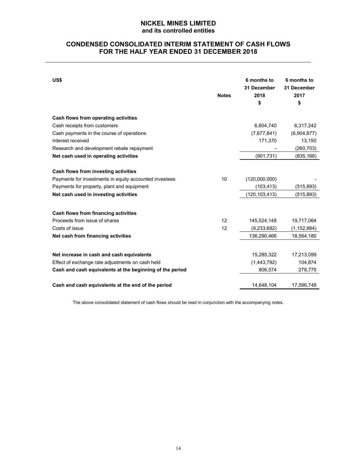## CONDENSED CONSOLIDATED INTERIM STATEMENT OF CASH FLOWS FOR THE HALF YEAR ENDED 31 DECEMBER 2018

| US\$                                                     | <b>Notes</b> | 6 months to<br>31 December<br>2018<br>\$ | 6 months to<br>31 December<br>2017<br>\$ |
|----------------------------------------------------------|--------------|------------------------------------------|------------------------------------------|
| Cash flows from operating activities                     |              |                                          |                                          |
| Cash receipts from customers                             |              | 6,604,740                                | 6,317,242                                |
| Cash payments in the course of operations                |              | (7,677,841)                              | (6,904,877)                              |
| Interest received                                        |              | 171,370                                  | 13,150                                   |
| Research and development rebate repayment                |              |                                          | (260, 703)                               |
| Net cash used in operating activities                    |              | (901, 731)                               | (835, 188)                               |
| Cash flows from investing activities                     |              |                                          |                                          |
| Payments for investments in equity accounted investees   | 10           | (120,000,000)                            |                                          |
| Payments for property, plant and equipment               |              | (103, 413)                               | (515, 893)                               |
| Net cash used in investing activities                    |              | (120, 103, 413)                          | (515, 893)                               |
| Cash flows from financing activities                     |              |                                          |                                          |
| Proceeds from issue of shares                            | 12           | 145,524,148                              | 19,717,064                               |
| Costs of issue                                           | 12           | (9,233,682)                              | (1, 152, 884)                            |
| Net cash from financing activities                       |              | 136,290,466                              | 18,564,180                               |
| Net increase in cash and cash equivalents                |              | 15,285,322                               | 17,213,099                               |
| Effect of exchange rate adjustments on cash held         |              | (1,443,792)                              | 104,874                                  |
| Cash and cash equivalents at the beginning of the period |              | 806,574                                  | 278,775                                  |
| Cash and cash equivalents at the end of the period       |              | 14,648,104                               | 17,596,748                               |

The above consolidated statement of cash flows should be read in conjunction with the accompanying notes.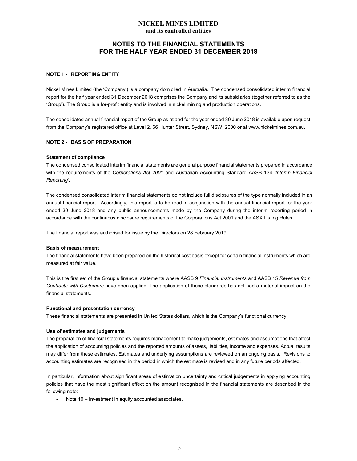## NOTES TO THE FINANCIAL STATEMENTS FOR THE HALF YEAR ENDED 31 DECEMBER 2018

#### NOTE 1 - REPORTING ENTITY

Nickel Mines Limited (the 'Company') is a company domiciled in Australia. The condensed consolidated interim financial report for the half year ended 31 December 2018 comprises the Company and its subsidiaries (together referred to as the 'Group'). The Group is a for-profit entity and is involved in nickel mining and production operations.

The consolidated annual financial report of the Group as at and for the year ended 30 June 2018 is available upon request from the Company's registered office at Level 2, 66 Hunter Street, Sydney, NSW, 2000 or at www.nickelmines.com.au.

#### NOTE 2 - BASIS OF PREPARATION

#### Statement of compliance

The condensed consolidated interim financial statements are general purpose financial statements prepared in accordance with the requirements of the Corporations Act 2001 and Australian Accounting Standard AASB 134 'Interim Financial Reporting'.

The condensed consolidated interim financial statements do not include full disclosures of the type normally included in an annual financial report. Accordingly, this report is to be read in conjunction with the annual financial report for the year ended 30 June 2018 and any public announcements made by the Company during the interim reporting period in accordance with the continuous disclosure requirements of the Corporations Act 2001 and the ASX Listing Rules.

The financial report was authorised for issue by the Directors on 28 February 2019.

#### Basis of measurement

The financial statements have been prepared on the historical cost basis except for certain financial instruments which are measured at fair value.

This is the first set of the Group's financial statements where AASB 9 Financial Instruments and AASB 15 Revenue from Contracts with Customers have been applied. The application of these standards has not had a material impact on the financial statements.

#### Functional and presentation currency

These financial statements are presented in United States dollars, which is the Company's functional currency.

#### Use of estimates and judgements

The preparation of financial statements requires management to make judgements, estimates and assumptions that affect the application of accounting policies and the reported amounts of assets, liabilities, income and expenses. Actual results may differ from these estimates. Estimates and underlying assumptions are reviewed on an ongoing basis. Revisions to accounting estimates are recognised in the period in which the estimate is revised and in any future periods affected.

In particular, information about significant areas of estimation uncertainty and critical judgements in applying accounting policies that have the most significant effect on the amount recognised in the financial statements are described in the following note:

Note 10 – Investment in equity accounted associates.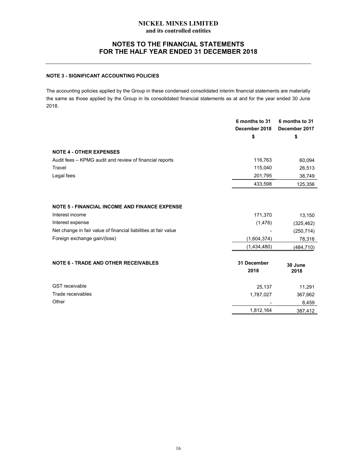## NOTES TO THE FINANCIAL STATEMENTS FOR THE HALF YEAR ENDED 31 DECEMBER 2018

## NOTE 3 - SIGNIFICANT ACCOUNTING POLICIES

The accounting policies applied by the Group in these condensed consolidated interim financial statements are materially the same as those applied by the Group in its consolidated financial statements as at and for the year ended 30 June 2018.

|                                                                 | 6 months to 31<br>December 2018<br>\$ | 6 months to 31<br>December 2017<br>\$ |
|-----------------------------------------------------------------|---------------------------------------|---------------------------------------|
| <b>NOTE 4 - OTHER EXPENSES</b>                                  |                                       |                                       |
| Audit fees - KPMG audit and review of financial reports         | 116,763                               | 60,094                                |
| Travel                                                          | 115,040                               | 26,513                                |
| Legal fees                                                      | 201,795                               | 38,749                                |
|                                                                 | 433,598                               | 125,356                               |
|                                                                 |                                       |                                       |
| <b>NOTE 5 - FINANCIAL INCOME AND FINANCE EXPENSE</b>            |                                       |                                       |
| Interest income                                                 | 171,370                               | 13,150                                |
| Interest expense                                                | (1, 476)                              | (325, 462)                            |
| Net change in fair value of financial liabilities at fair value |                                       | (250, 714)                            |
| Foreign exchange gain/(loss)                                    | (1,604,374)                           | 78,316                                |
|                                                                 | (1,434,480)                           | (484,710)                             |
| <b>NOTE 6 - TRADE AND OTHER RECEIVABLES</b>                     | 31 December<br>2018                   | 30 June<br>2018                       |
| <b>GST</b> receivable                                           | 25,137                                | 11,291                                |
| Trade receivables                                               | 1,787,027                             | 367,662                               |
| Other                                                           |                                       | 8,459                                 |
|                                                                 | 1,812,164                             | 387,412                               |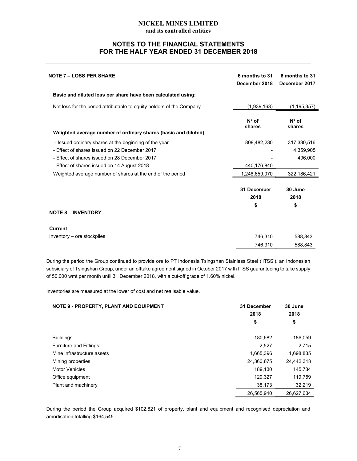## NOTES TO THE FINANCIAL STATEMENTS FOR THE HALF YEAR ENDED 31 DECEMBER 2018

| <b>NOTE 7 – LOSS PER SHARE</b>                                        | 6 months to 31<br>December 2018 | 6 months to 31<br>December 2017 |
|-----------------------------------------------------------------------|---------------------------------|---------------------------------|
| Basic and diluted loss per share have been calculated using:          |                                 |                                 |
| Net loss for the period attributable to equity holders of the Company | (1,939,163)                     | (1, 195, 357)                   |
| Weighted average number of ordinary shares (basic and diluted)        | $N^{\circ}$ of<br>shares        | $N^{\circ}$ of<br>shares        |
|                                                                       |                                 |                                 |
| - Issued ordinary shares at the beginning of the year                 | 808,482,230                     | 317,330,516                     |
| - Effect of shares issued on 22 December 2017                         |                                 | 4,359,905                       |
| - Effect of shares issued on 28 December 2017                         |                                 | 496,000                         |
| - Effect of shares issued on 14 August 2018                           | 440,176,840                     |                                 |
| Weighted average number of shares at the end of the period            | 1,248,659,070                   | 322,186,421                     |
|                                                                       | 31 December<br>2018<br>\$       | 30 June<br>2018<br>\$           |
| <b>NOTE 8 - INVENTORY</b>                                             |                                 |                                 |
| <b>Current</b>                                                        |                                 |                                 |
| Inventory – ore stockpiles                                            | 746,310                         | 588,843                         |
|                                                                       | 746,310                         | 588,843                         |

During the period the Group continued to provide ore to PT Indonesia Tsingshan Stainless Steel ('ITSS'), an Indonesian subsidiary of Tsingshan Group, under an offtake agreement signed in October 2017 with ITSS guaranteeing to take supply of 50,000 wmt per month until 31 December 2018, with a cut-off grade of 1.60% nickel.

Inventories are measured at the lower of cost and net realisable value.

| NOTE 9 - PROPERTY, PLANT AND EQUIPMENT | 31 December<br>2018 | 30 June<br>2018 |
|----------------------------------------|---------------------|-----------------|
|                                        | \$                  | \$              |
| <b>Buildings</b>                       | 180,682             | 186,059         |
| <b>Furniture and Fittings</b>          | 2,527               | 2,715           |
| Mine infrastructure assets             | 1,665,396           | 1,698,835       |
| Mining properties                      | 24,360,675          | 24,442,313      |
| <b>Motor Vehicles</b>                  | 189,130             | 145,734         |
| Office equipment                       | 129,327             | 119,759         |
| Plant and machinery                    | 38,173              | 32,219          |
|                                        | 26,565,910          | 26.627.634      |

During the period the Group acquired \$102,821 of property, plant and equipment and recognised depreciation and amortisation totalling \$164,545.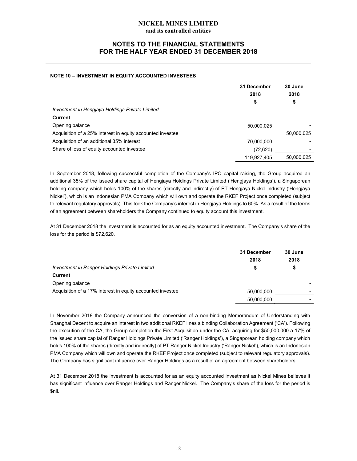## NOTES TO THE FINANCIAL STATEMENTS FOR THE HALF YEAR ENDED 31 DECEMBER 2018

#### NOTE 10 – INVESTMENT IN EQUITY ACCOUNTED INVESTEES

|                                                            | 31 December | 30 June    |
|------------------------------------------------------------|-------------|------------|
|                                                            | 2018        | 2018       |
|                                                            | \$          | \$         |
| Investment in Hengjaya Holdings Private Limited            |             |            |
| Current                                                    |             |            |
| Opening balance                                            | 50,000,025  |            |
| Acquisition of a 25% interest in equity accounted investee |             | 50.000.025 |
| Acquisition of an additional 35% interest                  | 70,000,000  |            |
| Share of loss of equity accounted investee                 | (72,620)    |            |
|                                                            | 119.927.405 | 50.000.025 |

In September 2018, following successful completion of the Company's IPO capital raising, the Group acquired an additional 35% of the issued share capital of Hengjaya Holdings Private Limited ('Hengjaya Holdings'), a Singaporean holding company which holds 100% of the shares (directly and indirectly) of PT Hengjaya Nickel Industry ('Hengjaya Nickel'), which is an Indonesian PMA Company which will own and operate the RKEF Project once completed (subject to relevant regulatory approvals). This took the Company's interest in Hengjaya Holdings to 60%. As a result of the terms of an agreement between shareholders the Company continued to equity account this investment.

At 31 December 2018 the investment is accounted for as an equity accounted investment. The Company's share of the loss for the period is \$72,620.

|                                                            | 31 December | 30 June |
|------------------------------------------------------------|-------------|---------|
|                                                            | 2018        | 2018    |
| Investment in Ranger Holdings Private Limited              | S           |         |
| <b>Current</b>                                             |             |         |
| Opening balance                                            | -           |         |
| Acquisition of a 17% interest in equity accounted investee | 50.000.000  |         |
|                                                            | 50,000,000  |         |

In November 2018 the Company announced the conversion of a non-binding Memorandum of Understanding with Shanghai Decent to acquire an interest in two additional RKEF lines a binding Collaboration Agreement ('CA'). Following the execution of the CA, the Group completion the First Acquisition under the CA, acquiring for \$50,000,000 a 17% of the issued share capital of Ranger Holdings Private Limited ('Ranger Holdings'), a Singaporean holding company which holds 100% of the shares (directly and indirectly) of PT Ranger Nickel Industry ('Ranger Nickel'), which is an Indonesian PMA Company which will own and operate the RKEF Project once completed (subject to relevant regulatory approvals). The Company has significant influence over Ranger Holdings as a result of an agreement between shareholders.

At 31 December 2018 the investment is accounted for as an equity accounted investment as Nickel Mines believes it has significant influence over Ranger Holdings and Ranger Nickel. The Company's share of the loss for the period is \$nil.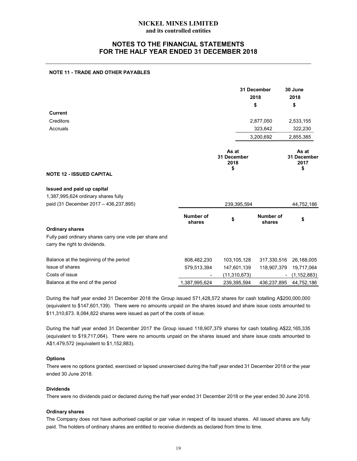## NOTES TO THE FINANCIAL STATEMENTS FOR THE HALF YEAR ENDED 31 DECEMBER 2018

#### NOTE 11 - TRADE AND OTHER PAYABLES

|                                                                                          |                     |                                    | 31 December<br>2018<br>\$ | 30 June<br>2018<br>\$              |
|------------------------------------------------------------------------------------------|---------------------|------------------------------------|---------------------------|------------------------------------|
| <b>Current</b>                                                                           |                     |                                    |                           |                                    |
| Creditors                                                                                |                     |                                    | 2,877,050                 | 2,533,155                          |
| Accruals                                                                                 |                     |                                    | 323,642                   | 322,230                            |
|                                                                                          |                     |                                    | 3,200,692                 | 2,855,385                          |
| <b>NOTE 12 - ISSUED CAPITAL</b>                                                          |                     | As at<br>31 December<br>2018<br>\$ |                           | As at<br>31 December<br>2017<br>\$ |
| Issued and paid up capital                                                               |                     |                                    |                           |                                    |
| 1,387,995,624 ordinary shares fully                                                      |                     |                                    |                           |                                    |
| paid (31 December 2017 - 436,237,895)                                                    | 239,395,594         |                                    |                           | 44,752,186                         |
|                                                                                          | Number of<br>shares | \$                                 | Number of<br>shares       | \$                                 |
| <b>Ordinary shares</b>                                                                   |                     |                                    |                           |                                    |
| Fully paid ordinary shares carry one vote per share and<br>carry the right to dividends. |                     |                                    |                           |                                    |
| Balance at the beginning of the period                                                   | 808,482,230         | 103, 105, 128                      | 317,330,516               | 26,188,005                         |
| Issue of shares                                                                          | 579,513,394         | 147,601,139                        | 118,907,379               | 19,717,064                         |
| Costs of issue                                                                           |                     | (11, 310, 673)                     |                           | (1, 152, 883)                      |
| Balance at the end of the period                                                         | 1,387,995,624       | 239,395,594                        | 436,237,895               | 44,752,186                         |
|                                                                                          |                     |                                    |                           |                                    |

During the half year ended 31 December 2018 the Group issued 571,428,572 shares for cash totalling A\$200,000,000 (equivalent to \$147,601,139). There were no amounts unpaid on the shares issued and share issue costs amounted to \$11,310,673. 8,084,822 shares were issued as part of the costs of issue.

During the half year ended 31 December 2017 the Group issued 118,907,379 shares for cash totalling A\$22,165,335 (equivalent to \$19,717,064). There were no amounts unpaid on the shares issued and share issue costs amounted to A\$1,479,572 (equivalent to \$1,152,883).

#### **Options**

There were no options granted, exercised or lapsed unexercised during the half year ended 31 December 2018 or the year ended 30 June 2018.

#### Dividends

There were no dividends paid or declared during the half year ended 31 December 2018 or the year ended 30 June 2018.

#### Ordinary shares

The Company does not have authorised capital or par value in respect of its issued shares. All issued shares are fully paid. The holders of ordinary shares are entitled to receive dividends as declared from time to time.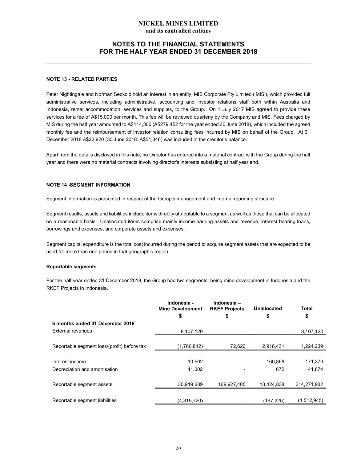## NOTES TO THE FINANCIAL STATEMENTS FOR THE HALF YEAR ENDED 31 DECEMBER 2018

#### NOTE 13 - RELATED PARTIES

Peter Nightingale and Norman Seckold hold an interest in an entity, MIS Corporate Pty Limited ('MIS'), which provided full administrative services, including administrative, accounting and investor relations staff both within Australia and Indonesia, rental accommodation, services and supplies, to the Group. On 1 July 2017 MIS agreed to provide these services for a fee of A\$15,000 per month. This fee will be reviewed quarterly by the Company and MIS. Fees charged by MIS during the half year amounted to A\$114,300 (A\$279,452 for the year ended 30 June 2018), which included the agreed monthly fee and the reimbursement of investor relation consulting fees incurred by MIS on behalf of the Group. At 31 December 2018 A\$22,920 (30 June 2018: A\$51,346) was included in the creditor's balance.

Apart from the details disclosed in this note, no Director has entered into a material contract with the Group during the half year and there were no material contracts involving director's interests subsisting at half year end.

#### NOTE 14 -SEGMENT INFORMATION

Segment information is presented in respect of the Group's management and internal reporting structure.

Segment results, assets and liabilities include items directly attributable to a segment as well as those that can be allocated on a reasonable basis. Unallocated items comprise mainly income earning assets and revenue, interest bearing loans, borrowings and expenses, and corporate assets and expenses.

Segment capital expenditure is the total cost incurred during the period to acquire segment assets that are expected to be used for more than one period in that geographic region.

#### Reportable segments

For the half year ended 31 December 2018, the Group had two segments, being mine development in Indonesia and the RKEF Projects in Indonesia.

|                                             | Indonesia -<br><b>Mine Development</b> | Indonesia-<br><b>RKEF Projects</b> | <b>Unallocated</b> | Total       |
|---------------------------------------------|----------------------------------------|------------------------------------|--------------------|-------------|
|                                             | \$                                     | \$                                 | \$                 | \$          |
| 6 months ended 31 December 2018             |                                        |                                    |                    |             |
| External revenues                           | 8,107,120                              |                                    |                    | 8,107,120   |
|                                             |                                        |                                    |                    |             |
| Reportable segment loss/(profit) before tax | (1,766,812)                            | 72,620                             | 2,918,431          | 1,224,239   |
|                                             |                                        |                                    |                    |             |
| Interest income                             | 10,502                                 |                                    | 160.868            | 171,370     |
| Depreciation and amortisation               | 41,002                                 |                                    | 672                | 41,674      |
|                                             |                                        |                                    |                    |             |
| Reportable segment assets                   | 30,919,689                             | 169.927.405                        | 13.424.838         | 214.271.932 |
|                                             |                                        |                                    |                    |             |
| Reportable segment liabilities              | (4,315,720)                            |                                    | (197, 225)         | (4,512,945) |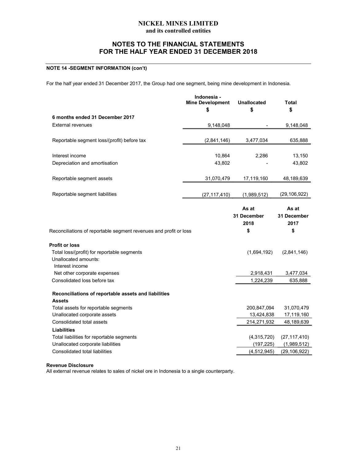## NOTES TO THE FINANCIAL STATEMENTS FOR THE HALF YEAR ENDED 31 DECEMBER 2018

## NOTE 14 -SEGMENT INFORMATION (con't)

For the half year ended 31 December 2017, the Group had one segment, being mine development in Indonesia.

|                                                                                | Indonesia -<br><b>Mine Development</b> | <b>Unallocated</b>           | <b>Total</b>                  |
|--------------------------------------------------------------------------------|----------------------------------------|------------------------------|-------------------------------|
|                                                                                | \$                                     | \$                           | \$                            |
| 6 months ended 31 December 2017                                                |                                        |                              |                               |
| <b>External revenues</b>                                                       | 9,148,048                              |                              | 9,148,048                     |
| Reportable segment loss/(profit) before tax                                    | (2,841,146)                            | 3,477,034                    | 635,888                       |
| Interest income                                                                | 10,864                                 | 2,286                        | 13,150                        |
| Depreciation and amortisation                                                  | 43,802                                 |                              | 43,802                        |
| Reportable segment assets                                                      | 31,070,479                             | 17,119,160                   | 48,189,639                    |
| Reportable segment liabilities                                                 | (27, 117, 410)                         | (1,989,512)                  | (29, 106, 922)                |
|                                                                                |                                        | As at<br>31 December<br>2018 | As at<br>31 December<br>2017  |
|                                                                                |                                        |                              |                               |
| Reconciliations of reportable segment revenues and profit or loss              |                                        | \$                           | \$                            |
|                                                                                |                                        |                              |                               |
| Total loss/(profit) for reportable segments                                    |                                        | (1,694,192)                  | (2,841,146)                   |
| Unallocated amounts:                                                           |                                        |                              |                               |
| Interest income                                                                |                                        |                              |                               |
| Net other corporate expenses                                                   |                                        | 2,918,431                    | 3,477,034                     |
| Consolidated loss before tax                                                   |                                        | 1,224,239                    | 635,888                       |
| Reconciliations of reportable assets and liabilities                           |                                        |                              |                               |
| Profit or loss<br><b>Assets</b>                                                |                                        |                              |                               |
| Total assets for reportable segments                                           |                                        | 200,847,094                  | 31,070,479                    |
| Unallocated corporate assets<br>Consolidated total assets                      |                                        | 13,424,838                   | 17,119,160                    |
| <b>Liabilities</b>                                                             |                                        | 214,271,932                  | 48,189,639                    |
|                                                                                |                                        |                              |                               |
| Total liabilities for reportable segments<br>Unallocated corporate liabilities |                                        | (4,315,720)<br>(197, 225)    | (27, 117, 410)<br>(1,989,512) |
| Consolidated total liabilities                                                 |                                        | (4, 512, 945)                | (29, 106, 922)                |

#### Revenue Disclosure

All external revenue relates to sales of nickel ore in Indonesia to a single counterparty.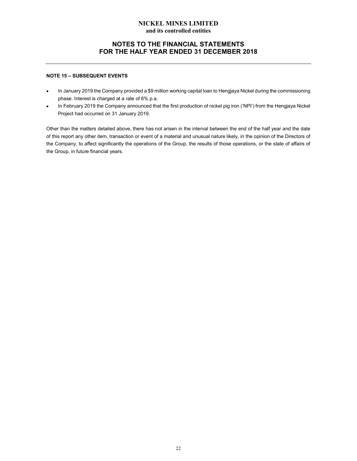## NOTES TO THE FINANCIAL STATEMENTS FOR THE HALF YEAR ENDED 31 DECEMBER 2018

#### NOTE 15 – SUBSEQUENT EVENTS

- $\bullet$ In January 2019 the Company provided a \$9 million working capital loan to Hengjaya Nickel during the commissioning phase. Interest is charged at a rate of 6% p.a.
- In February 2019 the Company announced that the first production of nickel pig iron ('NPI') from the Hengjaya Nickel  $\bullet$ Project had occurred on 31 January 2019.

Other than the matters detailed above, there has not arisen in the interval between the end of the half year and the date of this report any other item, transaction or event of a material and unusual nature likely, in the opinion of the Directors of the Company, to affect significantly the operations of the Group, the results of those operations, or the state of affairs of the Group, in future financial years.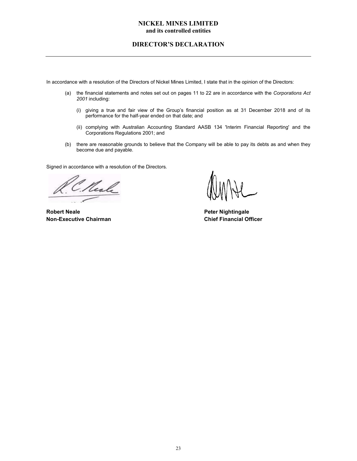## DIRECTOR'S DECLARATION

In accordance with a resolution of the Directors of Nickel Mines Limited, I state that in the opinion of the Directors:

- (a) the financial statements and notes set out on pages 11 to 22 are in accordance with the Corporations Act 2001 including:
	- (i) giving a true and fair view of the Group's financial position as at 31 December 2018 and of its performance for the half-year ended on that date; and
	- (ii) complying with Australian Accounting Standard AASB 134 'Interim Financial Reporting' and the Corporations Regulations 2001; and
- (b) there are reasonable grounds to believe that the Company will be able to pay its debts as and when they become due and payable.

Signed in accordance with a resolution of the Directors.

Veale

Robert Neale **Peter Nightingale** Non-Executive Chairman Chief Financial Officer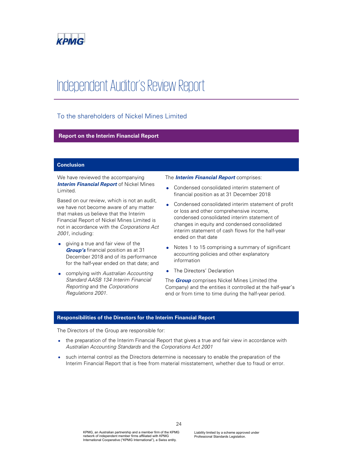

# Independent Auditor's Review Report

## To the shareholders of Nickel Mines Limited

## Report on the Interim Financial Report

#### Conclusion

We have reviewed the accompanying **Interim Financial Report** of Nickel Mines Limited.

Based on our review, which is not an audit, we have not become aware of any matter that makes us believe that the Interim Financial Report of Nickel Mines Limited is not in accordance with the Corporations Act 2001, including:

- giving a true and fair view of the Group's financial position as at 31 December 2018 and of its performance for the half-year ended on that date; and
- complying with Australian Accounting  $\bullet$ Standard AASB 134 Interim Financial Reporting and the Corporations Regulations 2001.

The **Interim Financial Report** comprises:

- Condensed consolidated interim statement of financial position as at 31 December 2018
- Condensed consolidated interim statement of profit  $\bullet$ or loss and other comprehensive income, condensed consolidated interim statement of changes in equity and condensed consolidated interim statement of cash flows for the half-year ended on that date
- Notes 1 to 15 comprising a summary of significant accounting policies and other explanatory information
- The Directors' Declaration

The **Group** comprises Nickel Mines Limited (the Company) and the entities it controlled at the half-year's end or from time to time during the half-year period.

#### Responsibilities of the Directors for the Interim Financial Report

The Directors of the Group are responsible for:

- the preparation of the Interim Financial Report that gives a true and fair view in accordance with Australian Accounting Standards and the Corporations Act 2001
- such internal control as the Directors determine is necessary to enable the preparation of the Interim Financial Report that is free from material misstatement, whether due to fraud or error.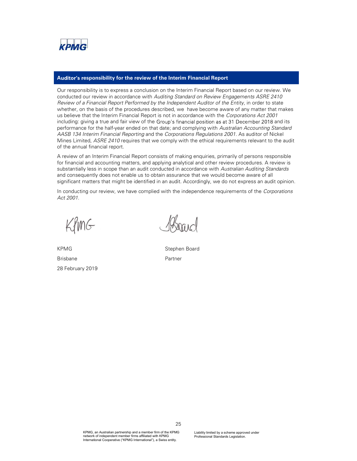

#### Auditor's responsibility for the review of the Interim Financial Report

Our responsibility is to express a conclusion on the Interim Financial Report based on our review. We conducted our review in accordance with Auditing Standard on Review Engagements ASRE 2410 Review of a Financial Report Performed by the Independent Auditor of the Entity, in order to state whether, on the basis of the procedures described, we have become aware of any matter that makes us believe that the Interim Financial Report is not in accordance with the Corporations Act 2001 including: giving a true and fair view of the Group's financial position as at 31 December 2018 and its performance for the half-year ended on that date; and complying with Australian Accounting Standard AASB 134 Interim Financial Reporting and the Corporations Regulations 2001. As auditor of Nickel Mines Limited, ASRE 2410 requires that we comply with the ethical requirements relevant to the audit of the annual financial report.

A review of an Interim Financial Report consists of making enquiries, primarily of persons responsible for financial and accounting matters, and applying analytical and other review procedures. A review is substantially less in scope than an audit conducted in accordance with Australian Auditing Standards and consequently does not enable us to obtain assurance that we would become aware of all significant matters that might be identified in an audit. Accordingly, we do not express an audit opinion.

In conducting our review, we have complied with the independence requirements of the Corporations Act 2001.

KPMG Brisbane 28 February 2019

Stephen Board Partner